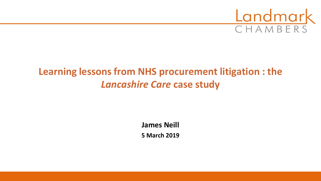

# **Learning lessons from NHS procurement litigation : the**  *Lancashire Care* **case study**

**James Neill 5 March 2019**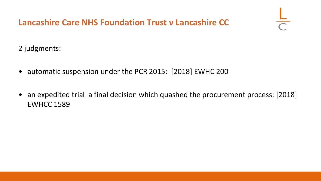

2 judgments:

- automatic suspension under the PCR 2015: [2018] EWHC 200
- an expedited trial a final decision which quashed the procurement process: [2018] EWHCC 1589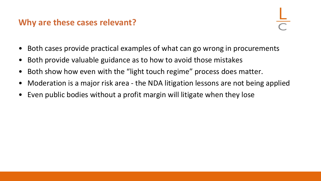#### **Why are these cases relevant?**

- Both cases provide practical examples of what can go wrong in procurements
- Both provide valuable guidance as to how to avoid those mistakes
- Both show how even with the "light touch regime" process does matter.
- Moderation is a major risk area the NDA litigation lessons are not being applied
- Even public bodies without a profit margin will litigate when they lose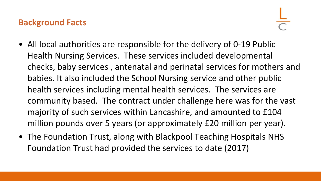#### **Background Facts**

- All local authorities are responsible for the delivery of 0-19 Public Health Nursing Services. These services included developmental checks, baby services , antenatal and perinatal services for mothers and babies. It also included the School Nursing service and other public health services including mental health services. The services are community based. The contract under challenge here was for the vast majority of such services within Lancashire, and amounted to £104 million pounds over 5 years (or approximately £20 million per year).
- The Foundation Trust, along with Blackpool Teaching Hospitals NHS Foundation Trust had provided the services to date (2017)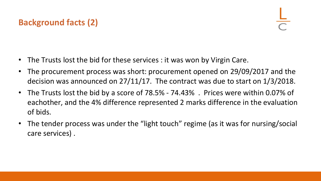## **Background facts (2)**

- The Trusts lost the bid for these services : it was won by Virgin Care.
- The procurement process was short: procurement opened on 29/09/2017 and the decision was announced on 27/11/17. The contract was due to start on 1/3/2018.
- The Trusts lost the bid by a score of 78.5% 74.43% . Prices were within 0.07% of eachother, and the 4% difference represented 2 marks difference in the evaluation of bids.
- The tender process was under the "light touch" regime (as it was for nursing/social care services) .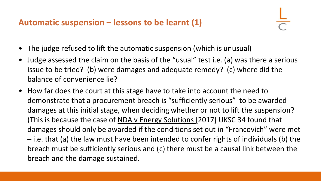#### **Automatic suspension – lessons to be learnt (1)**

- The judge refused to lift the automatic suspension (which is unusual)
- Judge assessed the claim on the basis of the "usual" test i.e. (a) was there a serious issue to be tried? (b) were damages and adequate remedy? (c) where did the balance of convenience lie?
- How far does the court at this stage have to take into account the need to demonstrate that a procurement breach is "sufficiently serious" to be awarded damages at this initial stage, when deciding whether or not to lift the suspension? (This is because the case of NDA v Energy Solutions [2017] UKSC 34 found that damages should only be awarded if the conditions set out in "Francovich" were met – i.e. that (a) the law must have been intended to confer rights of individuals (b) the breach must be sufficiently serious and (c) there must be a causal link between the breach and the damage sustained.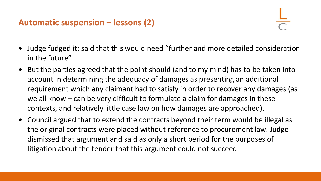### **Automatic suspension – lessons (2)**

- Judge fudged it: said that this would need "further and more detailed consideration in the future"
- But the parties agreed that the point should (and to my mind) has to be taken into account in determining the adequacy of damages as presenting an additional requirement which any claimant had to satisfy in order to recover any damages (as we all know – can be very difficult to formulate a claim for damages in these contexts, and relatively little case law on how damages are approached).
- Council argued that to extend the contracts beyond their term would be illegal as the original contracts were placed without reference to procurement law. Judge dismissed that argument and said as only a short period for the purposes of litigation about the tender that this argument could not succeed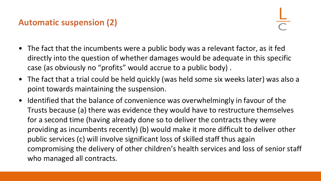## **Automatic suspension (2)**

- The fact that the incumbents were a public body was a relevant factor, as it fed directly into the question of whether damages would be adequate in this specific case (as obviously no "profits" would accrue to a public body) .
- The fact that a trial could be held quickly (was held some six weeks later) was also a point towards maintaining the suspension.
- Identified that the balance of convenience was overwhelmingly in favour of the Trusts because (a) there was evidence they would have to restructure themselves for a second time (having already done so to deliver the contracts they were providing as incumbents recently) (b) would make it more difficult to deliver other public services (c) will involve significant loss of skilled staff thus again compromising the delivery of other children's health services and loss of senior staff who managed all contracts.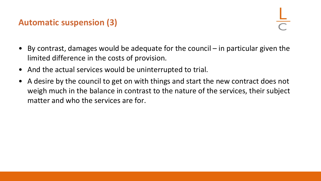#### **Automatic suspension (3)**

- By contrast, damages would be adequate for the council in particular given the limited difference in the costs of provision.
- And the actual services would be uninterrupted to trial.
- A desire by the council to get on with things and start the new contract does not weigh much in the balance in contrast to the nature of the services, their subject matter and who the services are for.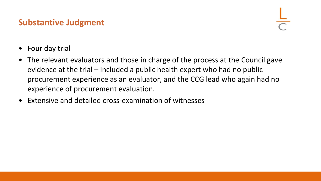#### **Substantive Judgment**

- Four day trial
- The relevant evaluators and those in charge of the process at the Council gave evidence at the trial – included a public health expert who had no public procurement experience as an evaluator, and the CCG lead who again had no experience of procurement evaluation.
- Extensive and detailed cross-examination of witnesses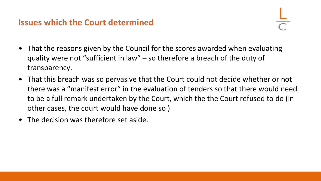#### **Issues which the Court determined**

- That the reasons given by the Council for the scores awarded when evaluating quality were not "sufficient in law" – so therefore a breach of the duty of transparency.
- That this breach was so pervasive that the Court could not decide whether or not there was a "manifest error" in the evaluation of tenders so that there would need to be a full remark undertaken by the Court, which the the Court refused to do (in other cases, the court would have done so )
- The decision was therefore set aside.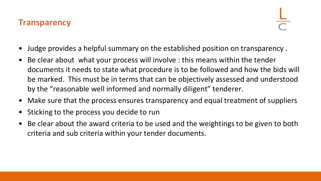#### **Transparency**

- Judge provides a helpful summary on the established position on transparency .
- Be clear about what your process will involve : this means within the tender documents it needs to state what procedure is to be followed and how the bids will be marked. This must be in terms that can be objectively assessed and understood by the "reasonable well informed and normally diligent" tenderer.
- Make sure that the process ensures transparency and equal treatment of suppliers
- Sticking to the process you decide to run
- Be clear about the award criteria to be used and the weightings to be given to both criteria and sub criteria within your tender documents.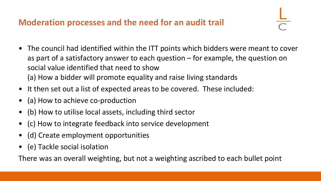## **Moderation processes and the need for an audit trail**

- The council had identified within the ITT points which bidders were meant to cover as part of a satisfactory answer to each question – for example, the question on social value identified that need to show (a) How a bidder will promote equality and raise living standards
- It then set out a list of expected areas to be covered. These included:
- (a) How to achieve co-production
- (b) How to utilise local assets, including third sector
- (c) How to integrate feedback into service development
- (d) Create employment opportunities
- (e) Tackle social isolation

There was an overall weighting, but not a weighting ascribed to each bullet point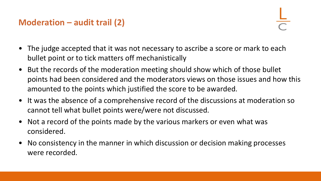## **Moderation – audit trail (2)**

- The judge accepted that it was not necessary to ascribe a score or mark to each bullet point or to tick matters off mechanistically
- But the records of the moderation meeting should show which of those bullet points had been considered and the moderators views on those issues and how this amounted to the points which justified the score to be awarded.
- It was the absence of a comprehensive record of the discussions at moderation so cannot tell what bullet points were/were not discussed.
- Not a record of the points made by the various markers or even what was considered.
- No consistency in the manner in which discussion or decision making processes were recorded.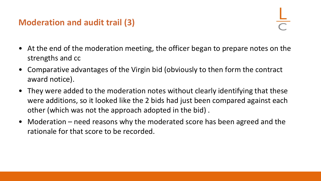### **Moderation and audit trail (3)**

- At the end of the moderation meeting, the officer began to prepare notes on the strengths and cc
- Comparative advantages of the Virgin bid (obviously to then form the contract award notice).
- They were added to the moderation notes without clearly identifying that these were additions, so it looked like the 2 bids had just been compared against each other (which was not the approach adopted in the bid) .
- Moderation need reasons why the moderated score has been agreed and the rationale for that score to be recorded.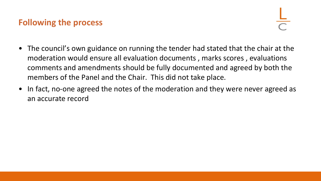#### **Following the process**

- The council's own guidance on running the tender had stated that the chair at the moderation would ensure all evaluation documents , marks scores , evaluations comments and amendments should be fully documented and agreed by both the members of the Panel and the Chair. This did not take place.
- In fact, no-one agreed the notes of the moderation and they were never agreed as an accurate record